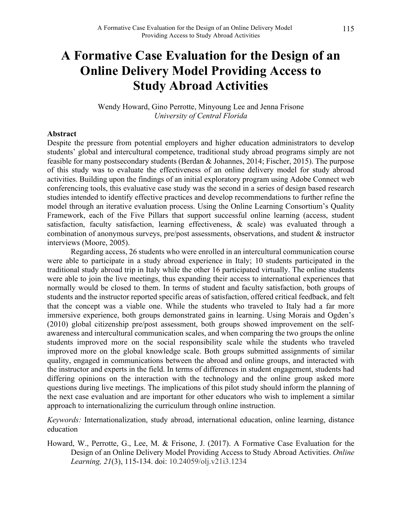# **A Formative Case Evaluation for the Design of an Online Delivery Model Providing Access to Study Abroad Activities**

Wendy Howard, Gino Perrotte, Minyoung Lee and Jenna Frisone *University of Central Florida*

#### **Abstract**

Despite the pressure from potential employers and higher education administrators to develop students' global and intercultural competence, traditional study abroad programs simply are not feasible for many postsecondary students (Berdan & Johannes, 2014; Fischer, 2015). The purpose of this study was to evaluate the effectiveness of an online delivery model for study abroad activities. Building upon the findings of an initial exploratory program using Adobe Connect web conferencing tools, this evaluative case study was the second in a series of design based research studies intended to identify effective practices and develop recommendations to further refine the model through an iterative evaluation process. Using the Online Learning Consortium's Quality Framework, each of the Five Pillars that support successful online learning (access, student satisfaction, faculty satisfaction, learning effectiveness, & scale) was evaluated through a combination of anonymous surveys, pre/post assessments, observations, and student & instructor interviews (Moore, 2005).

Regarding access, 26 students who were enrolled in an intercultural communication course were able to participate in a study abroad experience in Italy; 10 students participated in the traditional study abroad trip in Italy while the other 16 participated virtually. The online students were able to join the live meetings, thus expanding their access to international experiences that normally would be closed to them. In terms of student and faculty satisfaction, both groups of students and the instructor reported specific areas of satisfaction, offered critical feedback, and felt that the concept was a viable one. While the students who traveled to Italy had a far more immersive experience, both groups demonstrated gains in learning. Using Morais and Ogden's (2010) global citizenship pre/post assessment, both groups showed improvement on the selfawareness and intercultural communication scales, and when comparing the two groups the online students improved more on the social responsibility scale while the students who traveled improved more on the global knowledge scale. Both groups submitted assignments of similar quality, engaged in communications between the abroad and online groups, and interacted with the instructor and experts in the field. In terms of differences in student engagement, students had differing opinions on the interaction with the technology and the online group asked more questions during live meetings. The implications of this pilot study should inform the planning of the next case evaluation and are important for other educators who wish to implement a similar approach to internationalizing the curriculum through online instruction.

*Keywords:* Internationalization, study abroad, international education, online learning, distance education

Howard, W., Perrotte, G., Lee, M. & Frisone, J. (2017). A Formative Case Evaluation for the Design of an Online Delivery Model Providing Access to Study Abroad Activities. *Online Learning, 21*(3), 115-134. doi: 10.24059/olj.v21i3.1234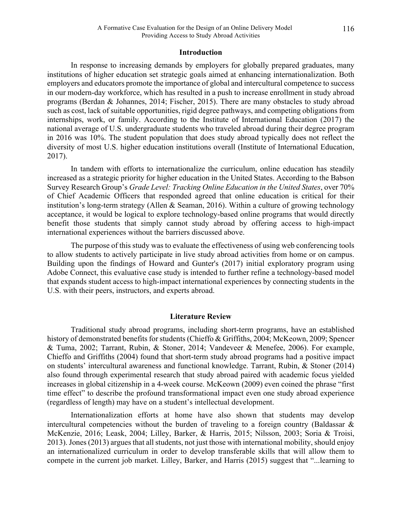#### **Introduction**

In response to increasing demands by employers for globally prepared graduates, many institutions of higher education set strategic goals aimed at enhancing internationalization. Both employers and educators promote the importance of global and intercultural competence to success in our modern-day workforce, which has resulted in a push to increase enrollment in study abroad programs (Berdan & Johannes, 2014; Fischer, 2015). There are many obstacles to study abroad such as cost, lack of suitable opportunities, rigid degree pathways, and competing obligations from internships, work, or family. According to the Institute of International Education (2017) the national average of U.S. undergraduate students who traveled abroad during their degree program in 2016 was 10%. The student population that does study abroad typically does not reflect the diversity of most U.S. higher education institutions overall (Institute of International Education, 2017).

In tandem with efforts to internationalize the curriculum, online education has steadily increased as a strategic priority for higher education in the United States. According to the Babson Survey Research Group's *Grade Level: Tracking Online Education in the United States*, over 70% of Chief Academic Officers that responded agreed that online education is critical for their institution's long-term strategy (Allen & Seaman, 2016). Within a culture of growing technology acceptance, it would be logical to explore technology-based online programs that would directly benefit those students that simply cannot study abroad by offering access to high-impact international experiences without the barriers discussed above.

The purpose of this study was to evaluate the effectiveness of using web conferencing tools to allow students to actively participate in live study abroad activities from home or on campus. Building upon the findings of Howard and Gunter's (2017) initial exploratory program using Adobe Connect, this evaluative case study is intended to further refine a technology-based model that expands student access to high-impact international experiences by connecting students in the U.S. with their peers, instructors, and experts abroad.

#### **Literature Review**

Traditional study abroad programs, including short-term programs, have an established history of demonstrated benefits for students (Chieffo & Griffiths, 2004; McKeown, 2009; Spencer & Tuma, 2002; Tarrant, Rubin, & Stoner, 2014; Vandeveer & Menefee, 2006). For example, Chieffo and Griffiths (2004) found that short-term study abroad programs had a positive impact on students' intercultural awareness and functional knowledge. Tarrant, Rubin, & Stoner (2014) also found through experimental research that study abroad paired with academic focus yielded increases in global citizenship in a 4-week course. McKeown (2009) even coined the phrase "first time effect" to describe the profound transformational impact even one study abroad experience (regardless of length) may have on a student's intellectual development.

Internationalization efforts at home have also shown that students may develop intercultural competencies without the burden of traveling to a foreign country (Baldassar & McKenzie, 2016; Leask, 2004; Lilley, Barker, & Harris, 2015; Nilsson, 2003; Soria & Troisi, 2013). Jones (2013) argues that all students, not just those with international mobility, should enjoy an internationalized curriculum in order to develop transferable skills that will allow them to compete in the current job market. Lilley, Barker, and Harris (2015) suggest that "...learning to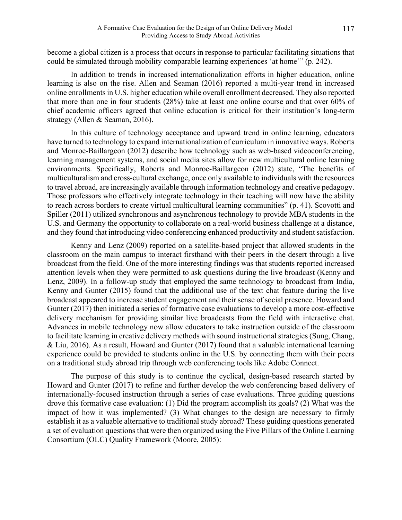become a global citizen is a process that occurs in response to particular facilitating situations that could be simulated through mobility comparable learning experiences 'at home'" (p. 242).

In addition to trends in increased internationalization efforts in higher education, online learning is also on the rise. Allen and Seaman (2016) reported a multi-year trend in increased online enrollments in U.S. higher education while overall enrollment decreased. They also reported that more than one in four students (28%) take at least one online course and that over 60% of chief academic officers agreed that online education is critical for their institution's long-term strategy (Allen & Seaman, 2016).

In this culture of technology acceptance and upward trend in online learning, educators have turned to technology to expand internationalization of curriculum in innovative ways. Roberts and Monroe-Baillargeon (2012) describe how technology such as web-based videoconferencing, learning management systems, and social media sites allow for new multicultural online learning environments. Specifically, Roberts and Monroe-Baillargeon (2012) state, "The benefits of multiculturalism and cross-cultural exchange, once only available to individuals with the resources to travel abroad, are increasingly available through information technology and creative pedagogy. Those professors who effectively integrate technology in their teaching will now have the ability to reach across borders to create virtual multicultural learning communities" (p. 41). Scovotti and Spiller (2011) utilized synchronous and asynchronous technology to provide MBA students in the U.S. and Germany the opportunity to collaborate on a real-world business challenge at a distance, and they found that introducing video conferencing enhanced productivity and student satisfaction.

Kenny and Lenz (2009) reported on a satellite-based project that allowed students in the classroom on the main campus to interact firsthand with their peers in the desert through a live broadcast from the field. One of the more interesting findings was that students reported increased attention levels when they were permitted to ask questions during the live broadcast (Kenny and Lenz, 2009). In a follow-up study that employed the same technology to broadcast from India, Kenny and Gunter (2015) found that the additional use of the text chat feature during the live broadcast appeared to increase student engagement and their sense of social presence. Howard and Gunter (2017) then initiated a series of formative case evaluations to develop a more cost-effective delivery mechanism for providing similar live broadcasts from the field with interactive chat. Advances in mobile technology now allow educators to take instruction outside of the classroom to facilitate learning in creative delivery methods with sound instructional strategies (Sung, Chang, & Liu, 2016). As a result, Howard and Gunter (2017) found that a valuable international learning experience could be provided to students online in the U.S. by connecting them with their peers on a traditional study abroad trip through web conferencing tools like Adobe Connect.

The purpose of this study is to continue the cyclical, design-based research started by Howard and Gunter (2017) to refine and further develop the web conferencing based delivery of internationally-focused instruction through a series of case evaluations. Three guiding questions drove this formative case evaluation: (1) Did the program accomplish its goals? (2) What was the impact of how it was implemented? (3) What changes to the design are necessary to firmly establish it as a valuable alternative to traditional study abroad? These guiding questions generated a set of evaluation questions that were then organized using the Five Pillars of the Online Learning Consortium (OLC) Quality Framework (Moore, 2005):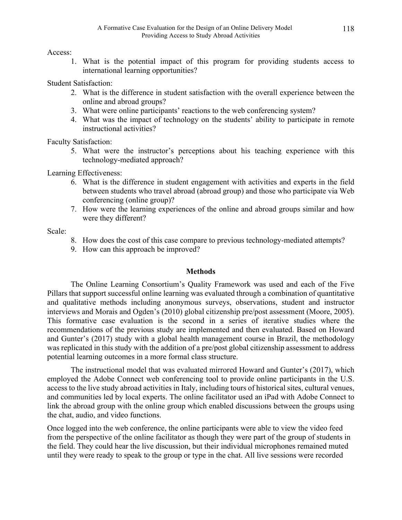Access:

1. What is the potential impact of this program for providing students access to international learning opportunities?

Student Satisfaction:

- 2. What is the difference in student satisfaction with the overall experience between the online and abroad groups?
- 3. What were online participants' reactions to the web conferencing system?
- 4. What was the impact of technology on the students' ability to participate in remote instructional activities?

Faculty Satisfaction:

5. What were the instructor's perceptions about his teaching experience with this technology-mediated approach?

Learning Effectiveness:

- 6. What is the difference in student engagement with activities and experts in the field between students who travel abroad (abroad group) and those who participate via Web conferencing (online group)?
- 7. How were the learning experiences of the online and abroad groups similar and how were they different?

Scale:

- 8. How does the cost of this case compare to previous technology-mediated attempts?
- 9. How can this approach be improved?

# **Methods**

The Online Learning Consortium's Quality Framework was used and each of the Five Pillars that support successful online learning was evaluated through a combination of quantitative and qualitative methods including anonymous surveys, observations, student and instructor interviews and Morais and Ogden's (2010) global citizenship pre/post assessment (Moore, 2005). This formative case evaluation is the second in a series of iterative studies where the recommendations of the previous study are implemented and then evaluated. Based on Howard and Gunter's (2017) study with a global health management course in Brazil, the methodology was replicated in this study with the addition of a pre/post global citizenship assessment to address potential learning outcomes in a more formal class structure.

The instructional model that was evaluated mirrored Howard and Gunter's (2017), which employed the Adobe Connect web conferencing tool to provide online participants in the U.S. access to the live study abroad activities in Italy, including tours of historical sites, cultural venues, and communities led by local experts. The online facilitator used an iPad with Adobe Connect to link the abroad group with the online group which enabled discussions between the groups using the chat, audio, and video functions.

Once logged into the web conference, the online participants were able to view the video feed from the perspective of the online facilitator as though they were part of the group of students in the field. They could hear the live discussion, but their individual microphones remained muted until they were ready to speak to the group or type in the chat. All live sessions were recorded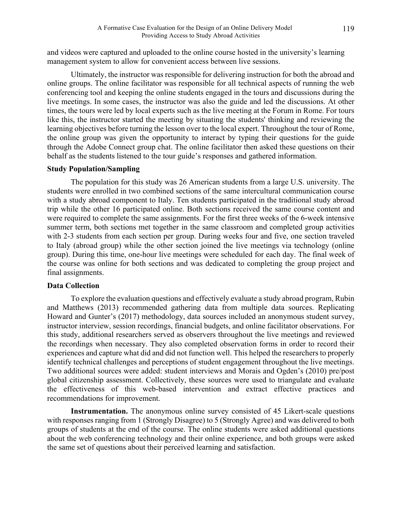and videos were captured and uploaded to the online course hosted in the university's learning management system to allow for convenient access between live sessions.

Ultimately, the instructor was responsible for delivering instruction for both the abroad and online groups. The online facilitator was responsible for all technical aspects of running the web conferencing tool and keeping the online students engaged in the tours and discussions during the live meetings. In some cases, the instructor was also the guide and led the discussions. At other times, the tours were led by local experts such as the live meeting at the Forum in Rome. For tours like this, the instructor started the meeting by situating the students' thinking and reviewing the learning objectives before turning the lesson over to the local expert. Throughout the tour of Rome, the online group was given the opportunity to interact by typing their questions for the guide through the Adobe Connect group chat. The online facilitator then asked these questions on their behalf as the students listened to the tour guide's responses and gathered information.

#### **Study Population/Sampling**

The population for this study was 26 American students from a large U.S. university. The students were enrolled in two combined sections of the same intercultural communication course with a study abroad component to Italy. Ten students participated in the traditional study abroad trip while the other 16 participated online. Both sections received the same course content and were required to complete the same assignments. For the first three weeks of the 6-week intensive summer term, both sections met together in the same classroom and completed group activities with 2-3 students from each section per group. During weeks four and five, one section traveled to Italy (abroad group) while the other section joined the live meetings via technology (online group). During this time, one-hour live meetings were scheduled for each day. The final week of the course was online for both sections and was dedicated to completing the group project and final assignments.

#### **Data Collection**

To explore the evaluation questions and effectively evaluate a study abroad program, Rubin and Matthews (2013) recommended gathering data from multiple data sources. Replicating Howard and Gunter's (2017) methodology, data sources included an anonymous student survey, instructor interview, session recordings, financial budgets, and online facilitator observations. For this study, additional researchers served as observers throughout the live meetings and reviewed the recordings when necessary. They also completed observation forms in order to record their experiences and capture what did and did not function well. This helped the researchers to properly identify technical challenges and perceptions of student engagement throughout the live meetings. Two additional sources were added: student interviews and Morais and Ogden's (2010) pre/post global citizenship assessment. Collectively, these sources were used to triangulate and evaluate the effectiveness of this web-based intervention and extract effective practices and recommendations for improvement.

**Instrumentation.** The anonymous online survey consisted of 45 Likert-scale questions with responses ranging from 1 (Strongly Disagree) to 5 (Strongly Agree) and was delivered to both groups of students at the end of the course. The online students were asked additional questions about the web conferencing technology and their online experience, and both groups were asked the same set of questions about their perceived learning and satisfaction.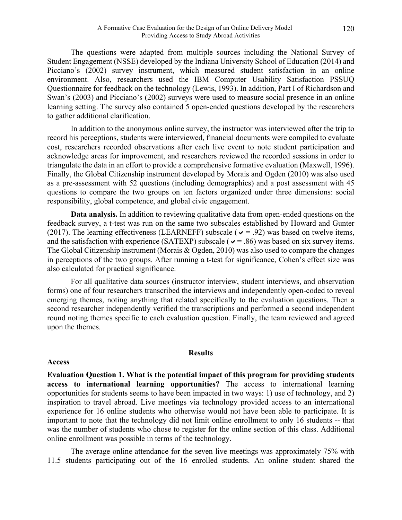The questions were adapted from multiple sources including the National Survey of Student Engagement (NSSE) developed by the Indiana University School of Education (2014) and Picciano's (2002) survey instrument, which measured student satisfaction in an online environment. Also, researchers used the IBM Computer Usability Satisfaction PSSUQ Questionnaire for feedback on the technology (Lewis, 1993). In addition, Part I of Richardson and Swan's (2003) and Picciano's (2002) surveys were used to measure social presence in an online learning setting. The survey also contained 5 open-ended questions developed by the researchers to gather additional clarification.

In addition to the anonymous online survey, the instructor was interviewed after the trip to record his perceptions, students were interviewed, financial documents were compiled to evaluate cost, researchers recorded observations after each live event to note student participation and acknowledge areas for improvement, and researchers reviewed the recorded sessions in order to triangulate the data in an effort to provide a comprehensive formative evaluation (Maxwell, 1996). Finally, the Global Citizenship instrument developed by Morais and Ogden (2010) was also used as a pre-assessment with 52 questions (including demographics) and a post assessment with 45 questions to compare the two groups on ten factors organized under three dimensions: social responsibility, global competence, and global civic engagement.

**Data analysis.** In addition to reviewing qualitative data from open-ended questions on the feedback survey, a t-test was run on the same two subscales established by Howard and Gunter (2017). The learning effectiveness (LEARNEFF) subscale ( $\vee$  = .92) was based on twelve items, and the satisfaction with experience (SATEXP) subscale ( $\vee$  = .86) was based on six survey items. The Global Citizenship instrument (Morais & Ogden, 2010) was also used to compare the changes in perceptions of the two groups. After running a t-test for significance, Cohen's effect size was also calculated for practical significance.

For all qualitative data sources (instructor interview, student interviews, and observation forms) one of four researchers transcribed the interviews and independently open-coded to reveal emerging themes, noting anything that related specifically to the evaluation questions. Then a second researcher independently verified the transcriptions and performed a second independent round noting themes specific to each evaluation question. Finally, the team reviewed and agreed upon the themes.

#### **Results**

#### **Access**

**Evaluation Question 1. What is the potential impact of this program for providing students access to international learning opportunities?** The access to international learning opportunities for students seems to have been impacted in two ways: 1) use of technology, and 2) inspiration to travel abroad. Live meetings via technology provided access to an international experience for 16 online students who otherwise would not have been able to participate. It is important to note that the technology did not limit online enrollment to only 16 students -- that was the number of students who chose to register for the online section of this class. Additional online enrollment was possible in terms of the technology.

The average online attendance for the seven live meetings was approximately 75% with 11.5 students participating out of the 16 enrolled students. An online student shared the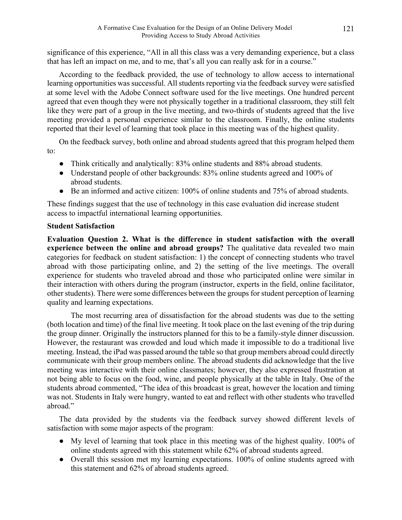significance of this experience, "All in all this class was a very demanding experience, but a class that has left an impact on me, and to me, that's all you can really ask for in a course."

According to the feedback provided, the use of technology to allow access to international learning opportunities was successful. All students reporting via the feedback survey were satisfied at some level with the Adobe Connect software used for the live meetings. One hundred percent agreed that even though they were not physically together in a traditional classroom, they still felt like they were part of a group in the live meeting, and two-thirds of students agreed that the live meeting provided a personal experience similar to the classroom. Finally, the online students reported that their level of learning that took place in this meeting was of the highest quality.

On the feedback survey, both online and abroad students agreed that this program helped them to:

- Think critically and analytically: 83% online students and 88% abroad students.
- Understand people of other backgrounds: 83% online students agreed and 100% of abroad students.
- Be an informed and active citizen: 100% of online students and 75% of abroad students.

These findings suggest that the use of technology in this case evaluation did increase student access to impactful international learning opportunities.

# **Student Satisfaction**

**Evaluation Question 2. What is the difference in student satisfaction with the overall experience between the online and abroad groups?** The qualitative data revealed two main categories for feedback on student satisfaction: 1) the concept of connecting students who travel abroad with those participating online, and 2) the setting of the live meetings. The overall experience for students who traveled abroad and those who participated online were similar in their interaction with others during the program (instructor, experts in the field, online facilitator, other students). There were some differences between the groups for student perception of learning quality and learning expectations.

The most recurring area of dissatisfaction for the abroad students was due to the setting (both location and time) of the final live meeting. It took place on the last evening of the trip during the group dinner. Originally the instructors planned for this to be a family-style dinner discussion. However, the restaurant was crowded and loud which made it impossible to do a traditional live meeting. Instead, the iPad was passed around the table so that group members abroad could directly communicate with their group members online. The abroad students did acknowledge that the live meeting was interactive with their online classmates; however, they also expressed frustration at not being able to focus on the food, wine, and people physically at the table in Italy. One of the students abroad commented, "The idea of this broadcast is great, however the location and timing was not. Students in Italy were hungry, wanted to eat and reflect with other students who travelled abroad"

The data provided by the students via the feedback survey showed different levels of satisfaction with some major aspects of the program:

- My level of learning that took place in this meeting was of the highest quality. 100% of online students agreed with this statement while 62% of abroad students agreed.
- Overall this session met my learning expectations. 100% of online students agreed with this statement and 62% of abroad students agreed.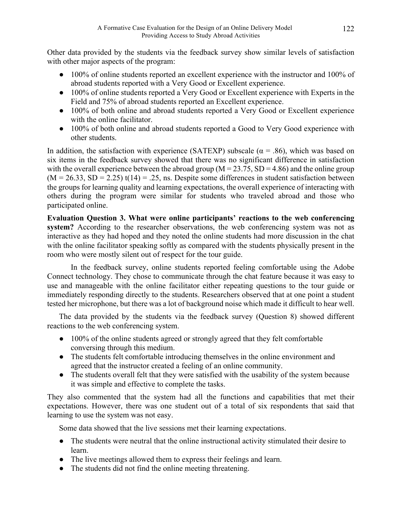Other data provided by the students via the feedback survey show similar levels of satisfaction with other major aspects of the program:

- 100% of online students reported an excellent experience with the instructor and 100% of abroad students reported with a Very Good or Excellent experience.
- 100% of online students reported a Very Good or Excellent experience with Experts in the Field and 75% of abroad students reported an Excellent experience.
- 100% of both online and abroad students reported a Very Good or Excellent experience with the online facilitator.
- 100% of both online and abroad students reported a Good to Very Good experience with other students.

In addition, the satisfaction with experience (SATEXP) subscale ( $\alpha$  = .86), which was based on six items in the feedback survey showed that there was no significant difference in satisfaction with the overall experience between the abroad group ( $M = 23.75$ ,  $SD = 4.86$ ) and the online group  $(M = 26.33, SD = 2.25)$  t(14) = .25, ns. Despite some differences in student satisfaction between the groups for learning quality and learning expectations, the overall experience of interacting with others during the program were similar for students who traveled abroad and those who participated online.

**Evaluation Question 3. What were online participants' reactions to the web conferencing system?** According to the researcher observations, the web conferencing system was not as interactive as they had hoped and they noted the online students had more discussion in the chat with the online facilitator speaking softly as compared with the students physically present in the room who were mostly silent out of respect for the tour guide.

In the feedback survey, online students reported feeling comfortable using the Adobe Connect technology. They chose to communicate through the chat feature because it was easy to use and manageable with the online facilitator either repeating questions to the tour guide or immediately responding directly to the students. Researchers observed that at one point a student tested her microphone, but there was a lot of background noise which made it difficult to hear well.

The data provided by the students via the feedback survey (Question 8) showed different reactions to the web conferencing system.

- 100% of the online students agreed or strongly agreed that they felt comfortable conversing through this medium.
- The students felt comfortable introducing themselves in the online environment and agreed that the instructor created a feeling of an online community.
- The students overall felt that they were satisfied with the usability of the system because it was simple and effective to complete the tasks.

They also commented that the system had all the functions and capabilities that met their expectations. However, there was one student out of a total of six respondents that said that learning to use the system was not easy.

Some data showed that the live sessions met their learning expectations.

- The students were neutral that the online instructional activity stimulated their desire to learn.
- The live meetings allowed them to express their feelings and learn.
- The students did not find the online meeting threatening.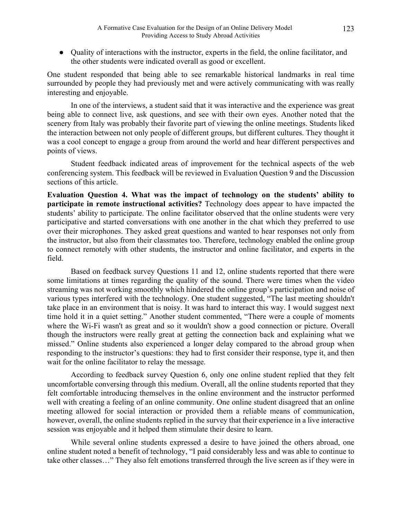• Quality of interactions with the instructor, experts in the field, the online facilitator, and the other students were indicated overall as good or excellent.

One student responded that being able to see remarkable historical landmarks in real time surrounded by people they had previously met and were actively communicating with was really interesting and enjoyable.

In one of the interviews, a student said that it was interactive and the experience was great being able to connect live, ask questions, and see with their own eyes. Another noted that the scenery from Italy was probably their favorite part of viewing the online meetings. Students liked the interaction between not only people of different groups, but different cultures. They thought it was a cool concept to engage a group from around the world and hear different perspectives and points of views.

Student feedback indicated areas of improvement for the technical aspects of the web conferencing system. This feedback will be reviewed in Evaluation Question 9 and the Discussion sections of this article.

**Evaluation Question 4. What was the impact of technology on the students' ability to participate in remote instructional activities?** Technology does appear to have impacted the students' ability to participate. The online facilitator observed that the online students were very participative and started conversations with one another in the chat which they preferred to use over their microphones. They asked great questions and wanted to hear responses not only from the instructor, but also from their classmates too. Therefore, technology enabled the online group to connect remotely with other students, the instructor and online facilitator, and experts in the field.

Based on feedback survey Questions 11 and 12, online students reported that there were some limitations at times regarding the quality of the sound. There were times when the video streaming was not working smoothly which hindered the online group's participation and noise of various types interfered with the technology. One student suggested, "The last meeting shouldn't take place in an environment that is noisy. It was hard to interact this way. I would suggest next time hold it in a quiet setting." Another student commented, "There were a couple of moments where the Wi-Fi wasn't as great and so it wouldn't show a good connection or picture. Overall though the instructors were really great at getting the connection back and explaining what we missed." Online students also experienced a longer delay compared to the abroad group when responding to the instructor's questions: they had to first consider their response, type it, and then wait for the online facilitator to relay the message.

According to feedback survey Question 6, only one online student replied that they felt uncomfortable conversing through this medium. Overall, all the online students reported that they felt comfortable introducing themselves in the online environment and the instructor performed well with creating a feeling of an online community. One online student disagreed that an online meeting allowed for social interaction or provided them a reliable means of communication, however, overall, the online students replied in the survey that their experience in a live interactive session was enjoyable and it helped them stimulate their desire to learn.

While several online students expressed a desire to have joined the others abroad, one online student noted a benefit of technology, "I paid considerably less and was able to continue to take other classes…" They also felt emotions transferred through the live screen as if they were in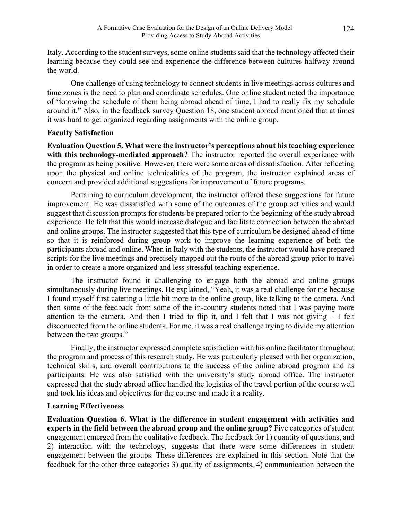Italy. According to the student surveys, some online students said that the technology affected their learning because they could see and experience the difference between cultures halfway around the world.

One challenge of using technology to connect students in live meetings across cultures and time zones is the need to plan and coordinate schedules. One online student noted the importance of "knowing the schedule of them being abroad ahead of time, I had to really fix my schedule around it." Also, in the feedback survey Question 18, one student abroad mentioned that at times it was hard to get organized regarding assignments with the online group.

# **Faculty Satisfaction**

**Evaluation Question 5. What were the instructor's perceptions about his teaching experience with this technology-mediated approach?** The instructor reported the overall experience with the program as being positive. However, there were some areas of dissatisfaction. After reflecting upon the physical and online technicalities of the program, the instructor explained areas of concern and provided additional suggestions for improvement of future programs.

Pertaining to curriculum development, the instructor offered these suggestions for future improvement. He was dissatisfied with some of the outcomes of the group activities and would suggest that discussion prompts for students be prepared prior to the beginning of the study abroad experience. He felt that this would increase dialogue and facilitate connection between the abroad and online groups. The instructor suggested that this type of curriculum be designed ahead of time so that it is reinforced during group work to improve the learning experience of both the participants abroad and online. When in Italy with the students, the instructor would have prepared scripts for the live meetings and precisely mapped out the route of the abroad group prior to travel in order to create a more organized and less stressful teaching experience.

The instructor found it challenging to engage both the abroad and online groups simultaneously during live meetings. He explained, "Yeah, it was a real challenge for me because I found myself first catering a little bit more to the online group, like talking to the camera. And then some of the feedback from some of the in-country students noted that I was paying more attention to the camera. And then I tried to flip it, and I felt that I was not giving  $-$  I felt disconnected from the online students. For me, it was a real challenge trying to divide my attention between the two groups."

Finally, the instructor expressed complete satisfaction with his online facilitator throughout the program and process of this research study. He was particularly pleased with her organization, technical skills, and overall contributions to the success of the online abroad program and its participants. He was also satisfied with the university's study abroad office. The instructor expressed that the study abroad office handled the logistics of the travel portion of the course well and took his ideas and objectives for the course and made it a reality.

# **Learning Effectiveness**

**Evaluation Question 6. What is the difference in student engagement with activities and experts in the field between the abroad group and the online group?** Five categories of student engagement emerged from the qualitative feedback. The feedback for 1) quantity of questions, and 2) interaction with the technology, suggests that there were some differences in student engagement between the groups. These differences are explained in this section. Note that the feedback for the other three categories 3) quality of assignments, 4) communication between the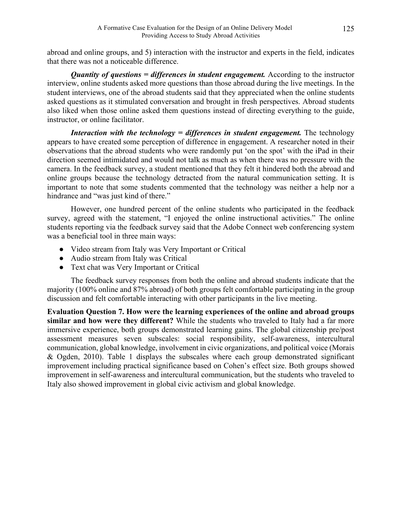abroad and online groups, and 5) interaction with the instructor and experts in the field, indicates that there was not a noticeable difference.

*Quantity of questions = differences in student engagement.* According to the instructor interview, online students asked more questions than those abroad during the live meetings. In the student interviews, one of the abroad students said that they appreciated when the online students asked questions as it stimulated conversation and brought in fresh perspectives. Abroad students also liked when those online asked them questions instead of directing everything to the guide, instructor, or online facilitator.

*Interaction with the technology = differences in student engagement.* The technology appears to have created some perception of difference in engagement. A researcher noted in their observations that the abroad students who were randomly put 'on the spot' with the iPad in their direction seemed intimidated and would not talk as much as when there was no pressure with the camera. In the feedback survey, a student mentioned that they felt it hindered both the abroad and online groups because the technology detracted from the natural communication setting. It is important to note that some students commented that the technology was neither a help nor a hindrance and "was just kind of there."

However, one hundred percent of the online students who participated in the feedback survey, agreed with the statement, "I enjoyed the online instructional activities." The online students reporting via the feedback survey said that the Adobe Connect web conferencing system was a beneficial tool in three main ways:

- Video stream from Italy was Very Important or Critical
- Audio stream from Italy was Critical
- Text chat was Very Important or Critical

The feedback survey responses from both the online and abroad students indicate that the majority (100% online and 87% abroad) of both groups felt comfortable participating in the group discussion and felt comfortable interacting with other participants in the live meeting.

**Evaluation Question 7. How were the learning experiences of the online and abroad groups similar and how were they different?** While the students who traveled to Italy had a far more immersive experience, both groups demonstrated learning gains. The global citizenship pre/post assessment measures seven subscales: social responsibility, self-awareness, intercultural communication, global knowledge, involvement in civic organizations, and political voice (Morais & Ogden, 2010). Table 1 displays the subscales where each group demonstrated significant improvement including practical significance based on Cohen's effect size. Both groups showed improvement in self-awareness and intercultural communication, but the students who traveled to Italy also showed improvement in global civic activism and global knowledge.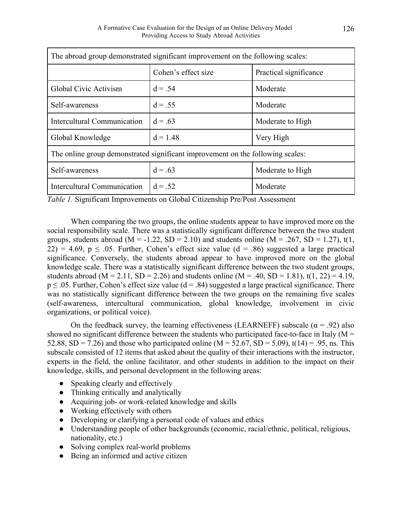| The abroad group demonstrated significant improvement on the following scales: |                     |                        |  |
|--------------------------------------------------------------------------------|---------------------|------------------------|--|
|                                                                                | Cohen's effect size | Practical significance |  |
| Global Civic Activism                                                          | $d = .54$           | Moderate               |  |
| Self-awareness                                                                 | $d = .55$           | Moderate               |  |
| Intercultural Communication                                                    | $d = .63$           | Moderate to High       |  |
| Global Knowledge                                                               | $d = 1.48$          | Very High              |  |
| The online group demonstrated significant improvement on the following scales: |                     |                        |  |
| Self-awareness                                                                 | $d = .63$           | Moderate to High       |  |
| Intercultural Communication                                                    | $d = .52$           | Moderate               |  |

*Table 1.* Significant Improvements on Global Citizenship Pre/Post Assessment

When comparing the two groups, the online students appear to have improved more on the social responsibility scale. There was a statistically significant difference between the two student groups, students abroad ( $M = -1.22$ ,  $SD = 2.10$ ) and students online ( $M = .267$ ,  $SD = 1.27$ ), t(1, 22) = 4.69,  $p \le 0.05$ . Further, Cohen's effect size value (d = .86) suggested a large practical significance. Conversely, the students abroad appear to have improved more on the global knowledge scale. There was a statistically significant difference between the two student groups, students abroad (M = 2.11, SD = 2.26) and students online (M = .40, SD = 1.81), t(1, 22) = 4.19,  $p \le 0.05$ . Further, Cohen's effect size value (d = .84) suggested a large practical significance. There was no statistically significant difference between the two groups on the remaining five scales (self-awareness, intercultural communication, global knowledge, involvement in civic organizations, or political voice).

On the feedback survey, the learning effectiveness (LEARNEFF) subscale ( $\alpha$  = .92) also showed no significant difference between the students who participated face-to-face in Italy ( $M =$ 52.88, SD = 7.26) and those who participated online (M = 52.67, SD = 5.09), t(14) = .95, ns. This subscale consisted of 12 items that asked about the quality of their interactions with the instructor, experts in the field, the online facilitator, and other students in addition to the impact on their knowledge, skills, and personal development in the following areas:

- Speaking clearly and effectively
- Thinking critically and analytically
- Acquiring job- or work-related knowledge and skills
- Working effectively with others
- Developing or clarifying a personal code of values and ethics
- Understanding people of other backgrounds (economic, racial/ethnic, political, religious, nationality, etc.)
- Solving complex real-world problems
- Being an informed and active citizen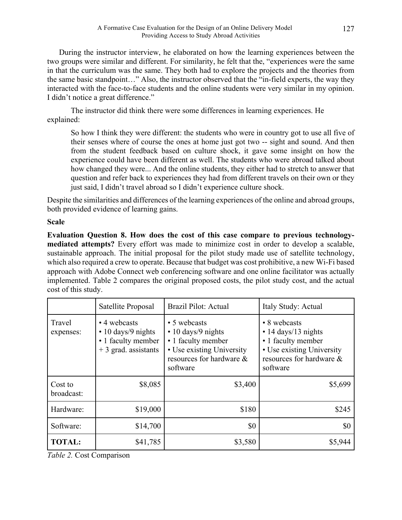During the instructor interview, he elaborated on how the learning experiences between the two groups were similar and different. For similarity, he felt that the, "experiences were the same in that the curriculum was the same. They both had to explore the projects and the theories from the same basic standpoint…" Also, the instructor observed that the "in-field experts, the way they interacted with the face-to-face students and the online students were very similar in my opinion. I didn't notice a great difference."

The instructor did think there were some differences in learning experiences. He explained:

So how I think they were different: the students who were in country got to use all five of their senses where of course the ones at home just got two -- sight and sound. And then from the student feedback based on culture shock, it gave some insight on how the experience could have been different as well. The students who were abroad talked about how changed they were... And the online students, they either had to stretch to answer that question and refer back to experiences they had from different travels on their own or they just said, I didn't travel abroad so I didn't experience culture shock.

Despite the similarities and differences of the learning experiences of the online and abroad groups, both provided evidence of learning gains.

# **Scale**

**Evaluation Question 8. How does the cost of this case compare to previous technologymediated attempts?** Every effort was made to minimize cost in order to develop a scalable, sustainable approach. The initial proposal for the pilot study made use of satellite technology, which also required a crew to operate. Because that budget was cost prohibitive, a new Wi-Fi based approach with Adobe Connect web conferencing software and one online facilitator was actually implemented. Table 2 compares the original proposed costs, the pilot study cost, and the actual cost of this study.

|                       | Satellite Proposal                                                                      | Brazil Pilot: Actual                                                                                                                | Italy Study: Actual                                                                                                            |
|-----------------------|-----------------------------------------------------------------------------------------|-------------------------------------------------------------------------------------------------------------------------------------|--------------------------------------------------------------------------------------------------------------------------------|
| Travel<br>expenses:   | • 4 webcasts<br>$\cdot$ 10 days/9 nights<br>• 1 faculty member<br>$+3$ grad. assistants | • 5 webcasts<br>$\cdot$ 10 days/9 nights<br>• 1 faculty member<br>• Use existing University<br>resources for hardware &<br>software | • 8 webcasts<br>• 14 days/13 nights<br>• 1 faculty member<br>• Use existing University<br>resources for hardware &<br>software |
| Cost to<br>broadcast: | \$8,085                                                                                 | \$3,400                                                                                                                             | \$5,699                                                                                                                        |
| Hardware:             | \$19,000                                                                                | \$180                                                                                                                               | \$245                                                                                                                          |
| Software:             | \$14,700                                                                                | \$0                                                                                                                                 | \$0                                                                                                                            |
| <b>TOTAL:</b>         | \$41,785                                                                                | \$3,580                                                                                                                             | \$5,944                                                                                                                        |

*Table 2.* Cost Comparison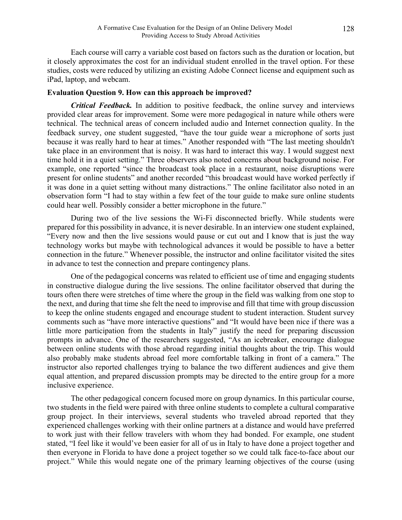Each course will carry a variable cost based on factors such as the duration or location, but it closely approximates the cost for an individual student enrolled in the travel option. For these studies, costs were reduced by utilizing an existing Adobe Connect license and equipment such as iPad, laptop, and webcam.

#### **Evaluation Question 9. How can this approach be improved?**

*Critical Feedback*. In addition to positive feedback, the online survey and interviews provided clear areas for improvement. Some were more pedagogical in nature while others were technical. The technical areas of concern included audio and Internet connection quality. In the feedback survey, one student suggested, "have the tour guide wear a microphone of sorts just because it was really hard to hear at times." Another responded with "The last meeting shouldn't take place in an environment that is noisy. It was hard to interact this way. I would suggest next time hold it in a quiet setting." Three observers also noted concerns about background noise. For example, one reported "since the broadcast took place in a restaurant, noise disruptions were present for online students" and another recorded "this broadcast would have worked perfectly if it was done in a quiet setting without many distractions." The online facilitator also noted in an observation form "I had to stay within a few feet of the tour guide to make sure online students could hear well. Possibly consider a better microphone in the future."

During two of the live sessions the Wi-Fi disconnected briefly. While students were prepared for this possibility in advance, it is never desirable. In an interview one student explained, "Every now and then the live sessions would pause or cut out and I know that is just the way technology works but maybe with technological advances it would be possible to have a better connection in the future." Whenever possible, the instructor and online facilitator visited the sites in advance to test the connection and prepare contingency plans.

One of the pedagogical concerns was related to efficient use of time and engaging students in constructive dialogue during the live sessions. The online facilitator observed that during the tours often there were stretches of time where the group in the field was walking from one stop to the next, and during that time she felt the need to improvise and fill that time with group discussion to keep the online students engaged and encourage student to student interaction. Student survey comments such as "have more interactive questions" and "It would have been nice if there was a little more participation from the students in Italy" justify the need for preparing discussion prompts in advance. One of the researchers suggested, "As an icebreaker, encourage dialogue between online students with those abroad regarding initial thoughts about the trip. This would also probably make students abroad feel more comfortable talking in front of a camera." The instructor also reported challenges trying to balance the two different audiences and give them equal attention, and prepared discussion prompts may be directed to the entire group for a more inclusive experience.

The other pedagogical concern focused more on group dynamics. In this particular course, two students in the field were paired with three online students to complete a cultural comparative group project. In their interviews, several students who traveled abroad reported that they experienced challenges working with their online partners at a distance and would have preferred to work just with their fellow travelers with whom they had bonded. For example, one student stated, "I feel like it would've been easier for all of us in Italy to have done a project together and then everyone in Florida to have done a project together so we could talk face-to-face about our project." While this would negate one of the primary learning objectives of the course (using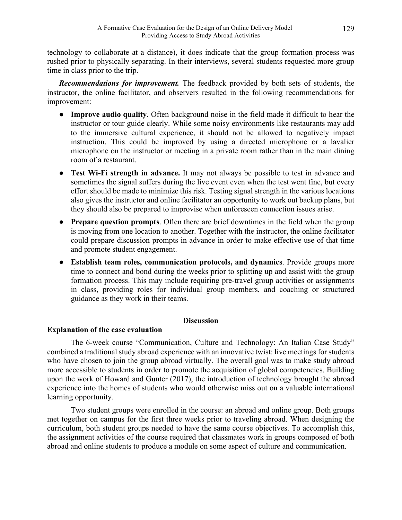technology to collaborate at a distance), it does indicate that the group formation process was rushed prior to physically separating. In their interviews, several students requested more group time in class prior to the trip.

*Recommendations for improvement.* The feedback provided by both sets of students, the instructor, the online facilitator, and observers resulted in the following recommendations for improvement:

- **Improve audio quality**. Often background noise in the field made it difficult to hear the instructor or tour guide clearly. While some noisy environments like restaurants may add to the immersive cultural experience, it should not be allowed to negatively impact instruction. This could be improved by using a directed microphone or a lavalier microphone on the instructor or meeting in a private room rather than in the main dining room of a restaurant.
- **Test Wi-Fi strength in advance.** It may not always be possible to test in advance and sometimes the signal suffers during the live event even when the test went fine, but every effort should be made to minimize this risk. Testing signal strength in the various locations also gives the instructor and online facilitator an opportunity to work out backup plans, but they should also be prepared to improvise when unforeseen connection issues arise.
- **Prepare question prompts**. Often there are brief downtimes in the field when the group is moving from one location to another. Together with the instructor, the online facilitator could prepare discussion prompts in advance in order to make effective use of that time and promote student engagement.
- **Establish team roles, communication protocols, and dynamics**. Provide groups more time to connect and bond during the weeks prior to splitting up and assist with the group formation process. This may include requiring pre-travel group activities or assignments in class, providing roles for individual group members, and coaching or structured guidance as they work in their teams.

## **Discussion**

## **Explanation of the case evaluation**

The 6-week course "Communication, Culture and Technology: An Italian Case Study" combined a traditional study abroad experience with an innovative twist: live meetings for students who have chosen to join the group abroad virtually. The overall goal was to make study abroad more accessible to students in order to promote the acquisition of global competencies. Building upon the work of Howard and Gunter (2017), the introduction of technology brought the abroad experience into the homes of students who would otherwise miss out on a valuable international learning opportunity.

Two student groups were enrolled in the course: an abroad and online group. Both groups met together on campus for the first three weeks prior to traveling abroad. When designing the curriculum, both student groups needed to have the same course objectives. To accomplish this, the assignment activities of the course required that classmates work in groups composed of both abroad and online students to produce a module on some aspect of culture and communication.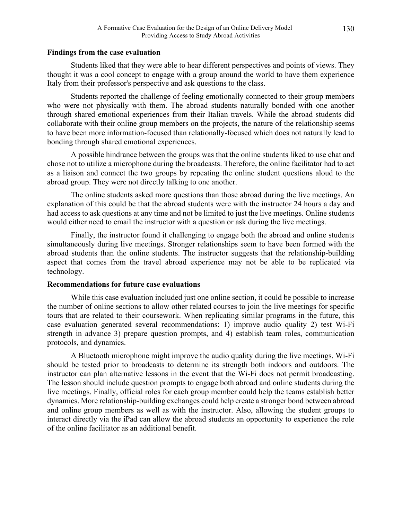#### **Findings from the case evaluation**

Students liked that they were able to hear different perspectives and points of views. They thought it was a cool concept to engage with a group around the world to have them experience Italy from their professor's perspective and ask questions to the class.

Students reported the challenge of feeling emotionally connected to their group members who were not physically with them. The abroad students naturally bonded with one another through shared emotional experiences from their Italian travels. While the abroad students did collaborate with their online group members on the projects, the nature of the relationship seems to have been more information-focused than relationally-focused which does not naturally lead to bonding through shared emotional experiences.

A possible hindrance between the groups was that the online students liked to use chat and chose not to utilize a microphone during the broadcasts. Therefore, the online facilitator had to act as a liaison and connect the two groups by repeating the online student questions aloud to the abroad group. They were not directly talking to one another.

The online students asked more questions than those abroad during the live meetings. An explanation of this could be that the abroad students were with the instructor 24 hours a day and had access to ask questions at any time and not be limited to just the live meetings. Online students would either need to email the instructor with a question or ask during the live meetings.

Finally, the instructor found it challenging to engage both the abroad and online students simultaneously during live meetings. Stronger relationships seem to have been formed with the abroad students than the online students. The instructor suggests that the relationship-building aspect that comes from the travel abroad experience may not be able to be replicated via technology.

## **Recommendations for future case evaluations**

While this case evaluation included just one online section, it could be possible to increase the number of online sections to allow other related courses to join the live meetings for specific tours that are related to their coursework. When replicating similar programs in the future, this case evaluation generated several recommendations: 1) improve audio quality 2) test Wi-Fi strength in advance 3) prepare question prompts, and 4) establish team roles, communication protocols, and dynamics.

A Bluetooth microphone might improve the audio quality during the live meetings. Wi-Fi should be tested prior to broadcasts to determine its strength both indoors and outdoors. The instructor can plan alternative lessons in the event that the Wi-Fi does not permit broadcasting. The lesson should include question prompts to engage both abroad and online students during the live meetings. Finally, official roles for each group member could help the teams establish better dynamics. More relationship-building exchanges could help create a stronger bond between abroad and online group members as well as with the instructor. Also, allowing the student groups to interact directly via the iPad can allow the abroad students an opportunity to experience the role of the online facilitator as an additional benefit.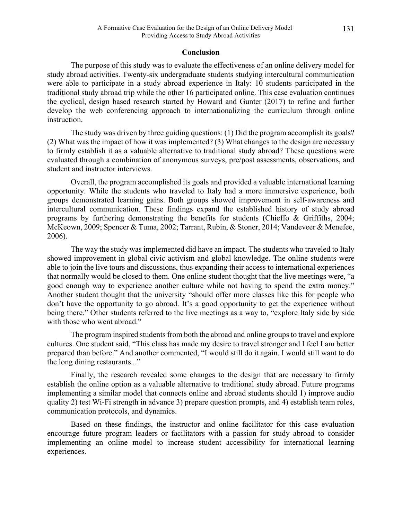#### **Conclusion**

The purpose of this study was to evaluate the effectiveness of an online delivery model for study abroad activities. Twenty-six undergraduate students studying intercultural communication were able to participate in a study abroad experience in Italy: 10 students participated in the traditional study abroad trip while the other 16 participated online. This case evaluation continues the cyclical, design based research started by Howard and Gunter (2017) to refine and further develop the web conferencing approach to internationalizing the curriculum through online instruction.

The study was driven by three guiding questions: (1) Did the program accomplish its goals? (2) What was the impact of how it was implemented? (3) What changes to the design are necessary to firmly establish it as a valuable alternative to traditional study abroad? These questions were evaluated through a combination of anonymous surveys, pre/post assessments, observations, and student and instructor interviews.

Overall, the program accomplished its goals and provided a valuable international learning opportunity. While the students who traveled to Italy had a more immersive experience, both groups demonstrated learning gains. Both groups showed improvement in self-awareness and intercultural communication. These findings expand the established history of study abroad programs by furthering demonstrating the benefits for students (Chieffo & Griffiths, 2004; McKeown, 2009; Spencer & Tuma, 2002; Tarrant, Rubin, & Stoner, 2014; Vandeveer & Menefee, 2006).

The way the study was implemented did have an impact. The students who traveled to Italy showed improvement in global civic activism and global knowledge. The online students were able to join the live tours and discussions, thus expanding their access to international experiences that normally would be closed to them. One online student thought that the live meetings were, "a good enough way to experience another culture while not having to spend the extra money." Another student thought that the university "should offer more classes like this for people who don't have the opportunity to go abroad. It's a good opportunity to get the experience without being there." Other students referred to the live meetings as a way to, "explore Italy side by side with those who went abroad."

The program inspired students from both the abroad and online groups to travel and explore cultures. One student said, "This class has made my desire to travel stronger and I feel I am better prepared than before." And another commented, "I would still do it again. I would still want to do the long dining restaurants..."

Finally, the research revealed some changes to the design that are necessary to firmly establish the online option as a valuable alternative to traditional study abroad. Future programs implementing a similar model that connects online and abroad students should 1) improve audio quality 2) test Wi-Fi strength in advance 3) prepare question prompts, and 4) establish team roles, communication protocols, and dynamics.

Based on these findings, the instructor and online facilitator for this case evaluation encourage future program leaders or facilitators with a passion for study abroad to consider implementing an online model to increase student accessibility for international learning experiences.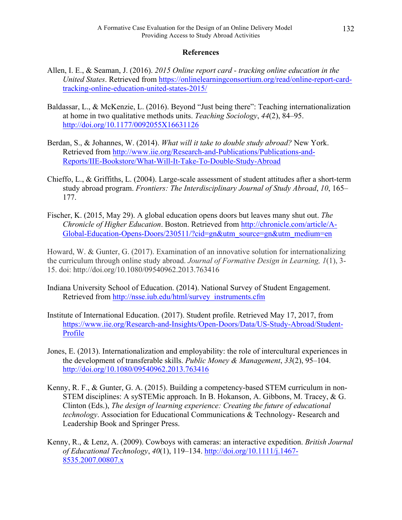## **References**

- Allen, I. E., & Seaman, J. (2016). *2015 Online report card - tracking online education in the United States*. Retrieved from https://onlinelearningconsortium.org/read/online-report-cardtracking-online-education-united-states-2015/
- Baldassar, L., & McKenzie, L. (2016). Beyond "Just being there": Teaching internationalization at home in two qualitative methods units. *Teaching Sociology*, *44*(2), 84–95. http://doi.org/10.1177/0092055X16631126
- Berdan, S., & Johannes, W. (2014). *What will it take to double study abroad?* New York. Retrieved from http://www.iie.org/Research-and-Publications/Publications-and-Reports/IIE-Bookstore/What-Will-It-Take-To-Double-Study-Abroad
- Chieffo, L., & Griffiths, L. (2004). Large-scale assessment of student attitudes after a short-term study abroad program. *Frontiers: The Interdisciplinary Journal of Study Abroad*, *10*, 165– 177.
- Fischer, K. (2015, May 29). A global education opens doors but leaves many shut out. *The Chronicle of Higher Education*. Boston. Retrieved from http://chronicle.com/article/A-Global-Education-Opens-Doors/230511/?cid=gn&utm\_source=gn&utm\_medium=en

Howard, W. & Gunter, G. (2017). Examination of an innovative solution for internationalizing the curriculum through online study abroad. *Journal of Formative Design in Learning, 1*(1), 3- 15. doi: http://doi.org/10.1080/09540962.2013.763416

- Indiana University School of Education. (2014). National Survey of Student Engagement. Retrieved from http://nsse.iub.edu/html/survey\_instruments.cfm
- Institute of International Education. (2017). Student profile. Retrieved May 17, 2017, from https://www.iie.org/Research-and-Insights/Open-Doors/Data/US-Study-Abroad/Student-Profile
- Jones, E. (2013). Internationalization and employability: the role of intercultural experiences in the development of transferable skills. *Public Money & Management*, *33*(2), 95–104. http://doi.org/10.1080/09540962.2013.763416
- Kenny, R. F., & Gunter, G. A. (2015). Building a competency-based STEM curriculum in non-STEM disciplines: A sySTEMic approach. In B. Hokanson, A. Gibbons, M. Tracey, & G. Clinton (Eds.), *The design of learning experience: Creating the future of educational technology*. Association for Educational Communications & Technology- Research and Leadership Book and Springer Press.
- Kenny, R., & Lenz, A. (2009). Cowboys with cameras: an interactive expedition. *British Journal of Educational Technology*, *40*(1), 119–134. http://doi.org/10.1111/j.1467- 8535.2007.00807.x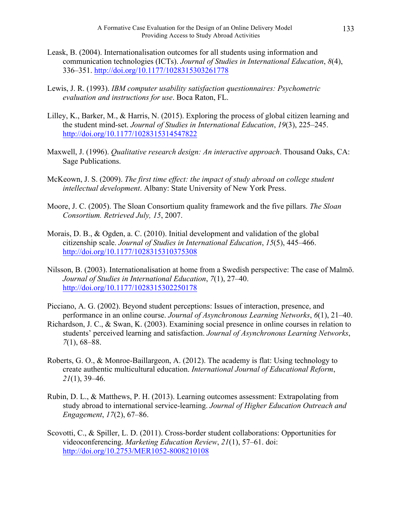- Leask, B. (2004). Internationalisation outcomes for all students using information and communication technologies (ICTs). *Journal of Studies in International Education*, *8*(4), 336–351. http://doi.org/10.1177/1028315303261778
- Lewis, J. R. (1993). *IBM computer usability satisfaction questionnaires: Psychometric evaluation and instructions for use*. Boca Raton, FL.
- Lilley, K., Barker, M., & Harris, N. (2015). Exploring the process of global citizen learning and the student mind-set. *Journal of Studies in International Education*, *19*(3), 225–245. http://doi.org/10.1177/1028315314547822
- Maxwell, J. (1996). *Qualitative research design: An interactive approach*. Thousand Oaks, CA: Sage Publications.
- McKeown, J. S. (2009). *The first time effect: the impact of study abroad on college student intellectual development*. Albany: State University of New York Press.
- Moore, J. C. (2005). The Sloan Consortium quality framework and the five pillars. *The Sloan Consortium. Retrieved July, 15*, 2007.
- Morais, D. B., & Ogden, a. C. (2010). Initial development and validation of the global citizenship scale. *Journal of Studies in International Education*, *15*(5), 445–466. http://doi.org/10.1177/1028315310375308
- Nilsson, B. (2003). Internationalisation at home from a Swedish perspective: The case of Malmö. *Journal of Studies in International Education*, *7*(1), 27–40. http://doi.org/10.1177/1028315302250178
- Picciano, A. G. (2002). Beyond student perceptions: Issues of interaction, presence, and performance in an online course. *Journal of Asynchronous Learning Networks*, *6*(1), 21–40.
- Richardson, J. C., & Swan, K. (2003). Examining social presence in online courses in relation to students' perceived learning and satisfaction. *Journal of Asynchronous Learning Networks*, *7*(1), 68–88.
- Roberts, G. O., & Monroe-Baillargeon, A. (2012). The academy is flat: Using technology to create authentic multicultural education. *International Journal of Educational Reform*, *21*(1), 39–46.
- Rubin, D. L., & Matthews, P. H. (2013). Learning outcomes assessment: Extrapolating from study abroad to international service-learning. *Journal of Higher Education Outreach and Engagement*, *17*(2), 67–86.
- Scovotti, C., & Spiller, L. D. (2011). Cross-border student collaborations: Opportunities for videoconferencing. *Marketing Education Review*, *21*(1), 57–61. doi: http://doi.org/10.2753/MER1052-8008210108